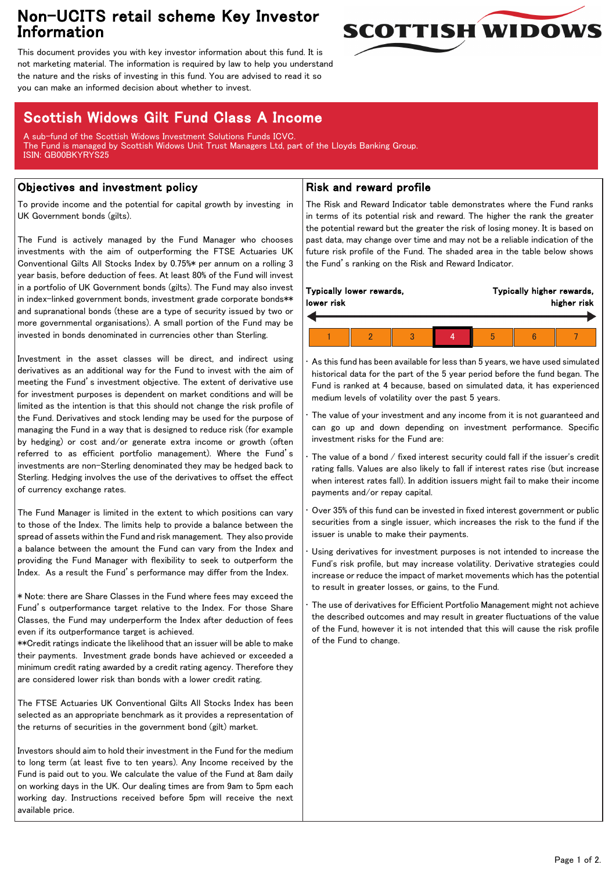# Non-UCITS retail scheme Key Investor Information



This document provides you with key investor information about this fund. It is not marketing material. The information is required by law to help you understand the nature and the risks of investing in this fund. You are advised to read it so you can make an informed decision about whether to invest.

# Scottish Widows Gilt Fund Class A Income

A sub-fund of the Scottish Widows Investment Solutions Funds ICVC. The Fund is managed by Scottish Widows Unit Trust Managers Ltd, part of the Lloyds Banking Group. ISIN: GB00BKYRYS25

### Objectives and investment policy

To provide income and the potential for capital growth by investing in UK Government bonds (gilts).

The Fund is actively managed by the Fund Manager who chooses investments with the aim of outperforming the FTSE Actuaries UK Conventional Gilts All Stocks Index by 0.75%\* per annum on a rolling 3 year basis, before deduction of fees. At least 80% of the Fund will invest in a portfolio of UK Government bonds (gilts). The Fund may also invest in index-linked government bonds, investment grade corporate bonds\*\* and supranational bonds (these are a type of security issued by two or more governmental organisations). A small portion of the Fund may be invested in bonds denominated in currencies other than Sterling.

Investment in the asset classes will be direct, and indirect using derivatives as an additional way for the Fund to invest with the aim of meeting the Fund's investment objective. The extent of derivative use for investment purposes is dependent on market conditions and will be limited as the intention is that this should not change the risk profile of the Fund. Derivatives and stock lending may be used for the purpose of managing the Fund in a way that is designed to reduce risk (for example by hedging) or cost and/or generate extra income or growth (often referred to as efficient portfolio management). Where the Fund's investments are non-Sterling denominated they may be hedged back to Sterling. Hedging involves the use of the derivatives to offset the effect of currency exchange rates.

The Fund Manager is limited in the extent to which positions can vary to those of the Index. The limits help to provide a balance between the spread of assets within the Fund and risk management. They also provide a balance between the amount the Fund can vary from the Index and providing the Fund Manager with flexibility to seek to outperform the Index. As a result the Fund's performance may differ from the Index.

\* Note: there are Share Classes in the Fund where fees may exceed the Fund's outperformance target relative to the Index. For those Share Classes, the Fund may underperform the Index after deduction of fees even if its outperformance target is achieved.

\*\*Credit ratings indicate the likelihood that an issuer will be able to make their payments. Investment grade bonds have achieved or exceeded a minimum credit rating awarded by a credit rating agency. Therefore they are considered lower risk than bonds with a lower credit rating.

The FTSE Actuaries UK Conventional Gilts All Stocks Index has been selected as an appropriate benchmark as it provides a representation of the returns of securities in the government bond (gilt) market.

Investors should aim to hold their investment in the Fund for the medium to long term (at least five to ten years). Any Income received by the Fund is paid out to you. We calculate the value of the Fund at 8am daily on working days in the UK. Our dealing times are from 9am to 5pm each working day. Instructions received before 5pm will receive the next available price.

### Risk and reward profile

The Risk and Reward Indicator table demonstrates where the Fund ranks in terms of its potential risk and reward. The higher the rank the greater the potential reward but the greater the risk of losing money. It is based on past data, may change over time and may not be a reliable indication of the future risk profile of the Fund. The shaded area in the table below shows the Fund's ranking on the Risk and Reward Indicator.

| Typically lower rewards,<br>lower risk |  |  | Typically higher rewards, | higher risk |
|----------------------------------------|--|--|---------------------------|-------------|
|                                        |  |  |                           |             |
|                                        |  |  |                           |             |

• As this fund has been available for less than 5 years, we have used simulated historical data for the part of the 5 year period before the fund began. The Fund is ranked at 4 because, based on simulated data, it has experienced medium levels of volatility over the past 5 years.

The value of your investment and any income from it is not guaranteed and can go up and down depending on investment performance. Specific investment risks for the Fund are:

The value of a bond / fixed interest security could fall if the issuer's credit rating falls. Values are also likely to fall if interest rates rise (but increase when interest rates fall). In addition issuers might fail to make their income payments and/or repay capital.

• Over 35% of this fund can be invested in fixed interest government or public securities from a single issuer, which increases the risk to the fund if the issuer is unable to make their payments.

Using derivatives for investment purposes is not intended to increase the Fund's risk profile, but may increase volatility. Derivative strategies could increase or reduce the impact of market movements which has the potential to result in greater losses, or gains, to the Fund.

• The use of derivatives for Efficient Portfolio Management might not achieve the described outcomes and may result in greater fluctuations of the value of the Fund, however it is not intended that this will cause the risk profile of the Fund to change.